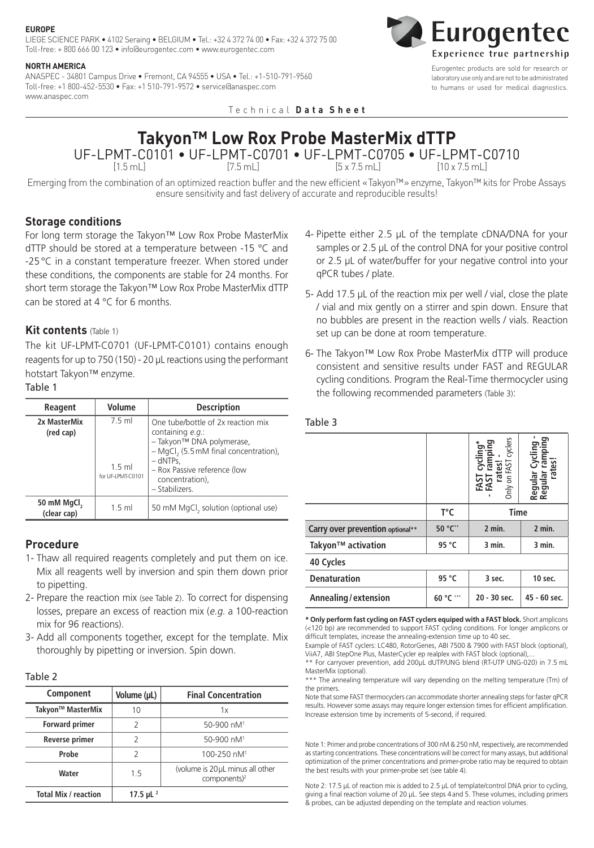#### **EUROPE**

LIEGE SCIENCE PARK • 4102 Seraing • BELGIUM • Tel.: +32 4 372 74 00 • Fax: +32 4 372 75 00 Toll-free: + 800 666 00 123 • info@eurogentec.com • www.eurogentec.com

### **NORTH AMERICA**

ANASPEC - 34801 Campus Drive • Fremont, CA 94555 • USA • Tel.: +1-510-791-9560 Toll-free: +1 800-452-5530 • Fax: +1 510-791-9572 • service@anaspec.com www.anaspec.com

Technical **D a t a S h e e t**



Eurogentec products are sold for research or laboratory use only and are not to be administrated to humans or used for medical diagnostics.

# **Takyon™ Low Rox Probe MasterMix dTTP** UF-LPMT-C0101 • UF-LPMT-C0701 • UF-LPMT-C0705 • UF-LPMT-C0710

 $[1.5 \text{ mL}]$   $[7.5 \text{ mL}]$   $[5 \times 7.5 \text{ mL}]$   $[10 \times 7.5 \text{ mL}]$ 

Emerging from the combination of an optimized reaction buffer and the new efficient «Takyon™» enzyme, Takyon™ kits for Probe Assays ensure sensitivity and fast delivery of accurate and reproducible results!

# **Storage conditions**

For long term storage the Takyon™ Low Rox Probe MasterMix dTTP should be stored at a temperature between -15 °C and -25°C in a constant temperature freezer. When stored under these conditions, the components are stable for 24 months. For short term storage the Takyon™ Low Rox Probe MasterMix dTTP can be stored at  $4^{\circ}$ C for 6 months.

## **Kit contents** (Table 1)

The kit UF-LPMT-C0701 (UF-LPMT-C0101) contains enough reagents for up to 750 (150) - 20 μL reactions using the performant hotstart Takyon™ enzyme.

# Table 1

| Reagent                                | Volume                                   | <b>Description</b>                                                                                                                                                                                               |
|----------------------------------------|------------------------------------------|------------------------------------------------------------------------------------------------------------------------------------------------------------------------------------------------------------------|
| 2x MasterMix<br>(red cap)              | 7 5 ml<br>$1.5$ ml<br>for UF-I PMT-C0101 | One tube/bottle of 2x reaction mix<br>containing $e.g.$<br>- Takyon™ DNA polymerase,<br>- MgCl, (5.5 mM final concentration),<br>$-$ dNTPs.<br>- Rox Passive reference (low<br>concentration),<br>- Stabilizers. |
| 50 mM MgCl <sub>2</sub><br>(clear cap) | $1.5$ ml                                 | 50 mM MgCl, solution (optional use)                                                                                                                                                                              |

# **Procedure**

- 1- Thaw all required reagents completely and put them on ice. Mix all reagents well by inversion and spin them down prior to pipetting.
- 2- Prepare the reaction mix (see Table 2). To correct for dispensing losses, prepare an excess of reaction mix (e.g. a 100-reaction mix for 96 reactions).
- 3- Add all components together, except for the template. Mix thoroughly by pipetting or inversion. Spin down.

# Table 2

| Component                   | Volume (µL)  | <b>Final Concentration</b>                                   |  |
|-----------------------------|--------------|--------------------------------------------------------------|--|
| Takyon™ MasterMix           | 10           | 1x                                                           |  |
| <b>Forward primer</b>       | 2            | 50-900 $nM1$                                                 |  |
| Reverse primer              | 2            | $50-900 \; \text{n}M$ <sup>1</sup>                           |  |
| Probe                       | 2            | 100-250 nM <sup>1</sup>                                      |  |
| Water                       | 1.5          | (volume is 20 µL minus all other<br>components) <sup>2</sup> |  |
| <b>Total Mix / reaction</b> | 17.5 µL $^2$ |                                                              |  |

- 4- Pipette either 2.5 μL of the template cDNA/DNA for your samples or 2.5 μL of the control DNA for your positive control or 2.5 μL of water/buffer for your negative control into your qPCR tubes / plate.
- 5- Add 17.5 μL of the reaction mix per well / vial, close the plate / vial and mix gently on a stirrer and spin down. Ensure that no bubbles are present in the reaction wells / vials. Reaction set up can be done at room temperature.
- 6- The Takyon™ Low Rox Probe MasterMix dTTP will produce consistent and sensitive results under FAST and REGULAR cycling conditions. Program the Real-Time thermocycler using the following recommended parameters (Table 3):

# Table 3

|                                  |              | cyclers<br>cycling<br>Only on FAST<br>FAST cyc<br>FAST ran<br>rates! | មិ<br>ទី<br>rates<br>Regular<br>Regular |
|----------------------------------|--------------|----------------------------------------------------------------------|-----------------------------------------|
|                                  | $T^{\circ}C$ | <b>Time</b>                                                          |                                         |
| Carry over prevention optional** | 50 °C**      | 2 min.                                                               | 2 min.                                  |
| Takyon <sup>™</sup> activation   | 95 °C        | 3 min.                                                               | 3 min.                                  |
| 40 Cycles                        |              |                                                                      |                                         |
| <b>Denaturation</b>              | 95 °C        | 3 sec.                                                               | 10 sec.                                 |
| Annealing/extension              | 60 °C        | 20 - 30 sec.                                                         | 45 - 60 sec.                            |

**\* Only perform fast cycling on FAST cyclers equiped with a FAST block.** Short amplicons (<120 bp) are recommended to support FAST cycling conditions. For longer amplicons or difficult templates, increase the annealing-extension time up to 40 sec.

Example of FAST cyclers: LC480, RotorGenes, ABI 7500 & 7900 with FAST block (optional), ViiA7, ABI StepOne Plus, MasterCycler ep realplex with FAST block (optional),

\*\* For carryover prevention, add 200μL dUTP/UNG blend (RT-UTP UNG-020) in 7.5 mL MasterMix (optional).

\*\* The annealing temperature will vary depending on the melting temperature (Tm) of the primers.

Note that some FAST thermocyclers can accommodate shorter annealing steps for faster qPCR results. However some assays may require longer extension times for efficient amplification. Increase extension time by increments of 5-second, if required.

Note 1: Primer and probe concentrations of 300 nM & 250 nM, respectively, are recommended as starting concentrations. These concentrations will be correct for many assays, but additional optimization of the primer concentrations and primer-probe ratio may be required to obtain the best results with your primer-probe set (see table 4).

Note 2: 17.5 μL of reaction mix is added to 2.5 μL of template/control DNA prior to cycling, giving a final reaction volume of 20 μL. See steps 4and 5. These volumes, including primers & probes, can be adjusted depending on the template and reaction volumes.